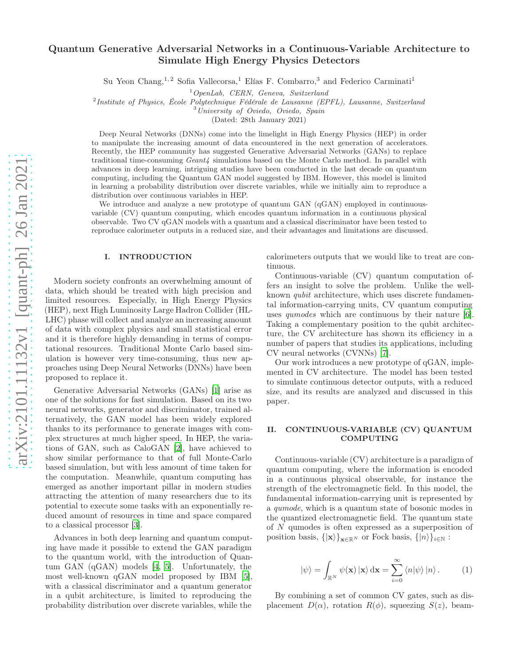# Quantum Generative Adversarial Networks in a Continuous-Variable Architecture to Simulate High Energy Physics Detectors

Su Yeon Chang,<sup>1,2</sup> Sofia Vallecorsa,<sup>1</sup> Elías F. Combarro,<sup>3</sup> and Federico Carminati<sup>1</sup>

 $1$ OpenLab, CERN, Geneva, Switzerland

<sup>2</sup>Institute of Physics, École Polytechnique Fédérale de Lausanne (EPFL), Lausanne, Switzerland

 $3$ University of Oviedo, Oviedo, Spain

(Dated: 28th January 2021)

Deep Neural Networks (DNNs) come into the limelight in High Energy Physics (HEP) in order to manipulate the increasing amount of data encountered in the next generation of accelerators. Recently, the HEP community has suggested Generative Adversarial Networks (GANs) to replace traditional time-consuming  $Geant\4$  simulations based on the Monte Carlo method. In parallel with advances in deep learning, intriguing studies have been conducted in the last decade on quantum computing, including the Quantum GAN model suggested by IBM. However, this model is limited in learning a probability distribution over discrete variables, while we initially aim to reproduce a distribution over continuous variables in HEP.

We introduce and analyze a new prototype of quantum GAN (qGAN) employed in continuousvariable (CV) quantum computing, which encodes quantum information in a continuous physical observable. Two CV qGAN models with a quantum and a classical discriminator have been tested to reproduce calorimeter outputs in a reduced size, and their advantages and limitations are discussed.

#### I. INTRODUCTION

Modern society confronts an overwhelming amount of data, which should be treated with high precision and limited resources. Especially, in High Energy Physics (HEP), next High Luminosity Large Hadron Collider (HL-LHC) phase will collect and analyze an increasing amount of data with complex physics and small statistical error and it is therefore highly demanding in terms of computational resources. Traditional Monte Carlo based simulation is however very time-consuming, thus new approaches using Deep Neural Networks (DNNs) have been proposed to replace it.

Generative Adversarial Networks (GANs) [\[1](#page-3-0)] arise as one of the solutions for fast simulation. Based on its two neural networks, generator and discriminator, trained alternatively, the GAN model has been widely explored thanks to its performance to generate images with complex structures at much higher speed. In HEP, the variations of GAN, such as CaloGAN [\[2](#page-3-1)], have achieved to show similar performance to that of full Monte-Carlo based simulation, but with less amount of time taken for the computation. Meanwhile, quantum computing has emerged as another important pillar in modern studies attracting the attention of many researchers due to its potential to execute some tasks with an exponentially reduced amount of resources in time and space compared to a classical processor [\[3](#page-3-2)].

Advances in both deep learning and quantum computing have made it possible to extend the GAN paradigm to the quantum world, with the introduction of Quantum GAN (qGAN) models [\[4,](#page-3-3) [5](#page-3-4)]. Unfortunately, the most well-known qGAN model proposed by IBM [\[5\]](#page-3-4), with a classical discriminator and a quantum generator in a qubit architecture, is limited to reproducing the probability distribution over discrete variables, while the

calorimeters outputs that we would like to treat are continuous.

Continuous-variable (CV) quantum computation offers an insight to solve the problem. Unlike the wellknown qubit architecture, which uses discrete fundamental information-carrying units, CV quantum computing uses qumodes which are continuous by their nature [\[6\]](#page-3-5). Taking a complementary position to the qubit architecture, the CV architecture has shown its efficiency in a number of papers that studies its applications, including CV neural networks (CVNNs) [\[7\]](#page-3-6).

Our work introduces a new prototype of qGAN, implemented in CV architecture. The model has been tested to simulate continuous detector outputs, with a reduced size, and its results are analyzed and discussed in this paper.

## II. CONTINUOUS-VARIABLE (CV) QUANTUM COMPUTING

Continuous-variable (CV) architecture is a paradigm of quantum computing, where the information is encoded in a continuous physical observable, for instance the strength of the electromagnetic field. In this model, the fundamental information-carrying unit is represented by a qumode, which is a quantum state of bosonic modes in the quantized electromagnetic field. The quantum state of N qumodes is often expressed as a superposition of position basis,  $\{|\mathbf{x}\rangle\}_{\mathbf{x}\in\mathbb{R}^N}$  or Fock basis,  $\{|n\rangle\}_{i\in\mathbb{N}}$ :

$$
|\psi\rangle = \int_{\mathbb{R}^N} \psi(\mathbf{x}) \, |\mathbf{x}\rangle \, \mathrm{d}\mathbf{x} = \sum_{i=0}^{\infty} \langle n|\psi\rangle \, |n\rangle \,. \tag{1}
$$

By combining a set of common CV gates, such as displacement  $D(\alpha)$ , rotation  $R(\phi)$ , squeezing  $S(z)$ , beam-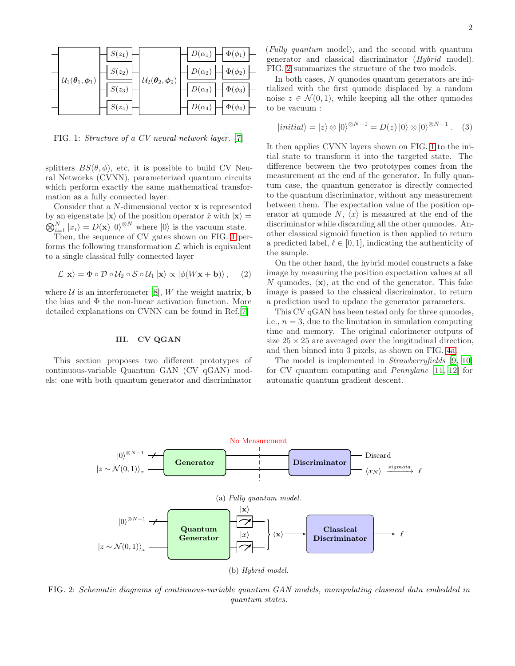<span id="page-1-0"></span>

FIG. 1: Structure of a CV neural network layer. [\[7\]](#page-3-6)

splitters  $BS(\theta, \phi)$ , etc, it is possible to build CV Neural Networks (CVNN), parameterized quantum circuits which perform exactly the same mathematical transformation as a fully connected layer.

Consider that a N-dimensional vector x is represented by an eigenstate  $|\mathbf{x}\rangle$  of the position operator  $\hat{x}$  with  $|\mathbf{x}\rangle =$  $\bigotimes_{i=1}^{N} |x_i\rangle = D(\mathbf{x}) |0\rangle^{\otimes N}$  where  $|0\rangle$  is the vacuum state.

Then, the sequence of CV gates shown on FIG. [1](#page-1-0) performs the following transformation  $\mathcal L$  which is equivalent to a single classical fully connected layer

$$
\mathcal{L} | \mathbf{x} \rangle = \Phi \circ \mathcal{D} \circ \mathcal{U}_2 \circ \mathcal{S} \circ \mathcal{U}_1 | \mathbf{x} \rangle \propto \left| \phi(W\mathbf{x} + \mathbf{b}) \right\rangle, \quad (2)
$$

where  $U$  is an interferometer [\[8\]](#page-3-7), W the weight matrix, **b** the bias and  $\Phi$  the non-linear activation function. More detailed explanations on CVNN can be found in Ref.[\[7\]](#page-3-6)

## III. CV QGAN

This section proposes two different prototypes of continuous-variable Quantum GAN (CV qGAN) models: one with both quantum generator and discriminator (Fully quantum model), and the second with quantum generator and classical discriminator (Hybrid model). FIG. [2](#page-1-1) summarizes the structure of the two models.

In both cases, N qumodes quantum generators are initialized with the first qumode displaced by a random noise  $z \in \mathcal{N}(0, 1)$ , while keeping all the other qumodes to be vacuum :

$$
|initial\rangle = |z\rangle \otimes |0\rangle^{\otimes N-1} = D(z) |0\rangle \otimes |0\rangle^{\otimes N-1}.
$$
 (3)

It then applies CVNN layers shown on FIG. [1](#page-1-0) to the initial state to transform it into the targeted state. The difference between the two prototypes comes from the measurement at the end of the generator. In fully quantum case, the quantum generator is directly connected to the quantum discriminator, without any measurement between them. The expectation value of the position operator at qumode N,  $\langle x \rangle$  is measured at the end of the discriminator while discarding all the other qumodes. Another classical sigmoid function is then applied to return a predicted label,  $\ell \in [0, 1]$ , indicating the authenticity of the sample.

On the other hand, the hybrid model constructs a fake image by measuring the position expectation values at all N qumodes,  $\langle x \rangle$ , at the end of the generator. This fake image is passed to the classical discriminator, to return a prediction used to update the generator parameters.

This CV qGAN has been tested only for three qumodes, i.e.,  $n = 3$ , due to the limitation in simulation computing time and memory. The original calorimeter outputs of size  $25 \times 25$  are averaged over the longitudinal direction, and then binned into 3 pixels, as shown on FIG. [4a.](#page-2-0)

The model is implemented in Strawberryfields [\[9,](#page-3-8) [10](#page-3-9)] for CV quantum computing and Pennylane [\[11,](#page-3-10) [12\]](#page-3-11) for automatic quantum gradient descent.

<span id="page-1-1"></span>

FIG. 2: Schematic diagrams of continuous-variable quantum GAN models, manipulating classical data embedded in quantum states.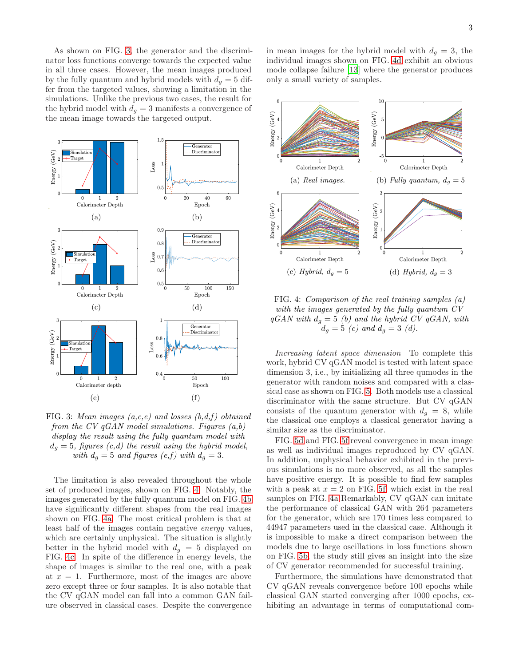As shown on FIG. [3,](#page-2-1) the generator and the discriminator loss functions converge towards the expected value in all three cases. However, the mean images produced by the fully quantum and hybrid models with  $d<sub>q</sub> = 5$  differ from the targeted values, showing a limitation in the simulations. Unlike the previous two cases, the result for the hybrid model with  $d_g = 3$  manifests a convergence of the mean image towards the targeted output.

<span id="page-2-1"></span>

FIG. 3: Mean images  $(a, c, e)$  and losses  $(b, d, f)$  obtained from the CV  $qGAN$  model simulations. Figures  $(a,b)$ display the result using the fully quantum model with  $d_q = 5$ , figures (c,d) the result using the hybrid model, with  $d_q = 5$  and figures  $(e, f)$  with  $d_q = 3$ .

The limitation is also revealed throughout the whole set of produced images, shown on FIG. [4.](#page-2-0) Notably, the images generated by the fully quantum model on FIG. [4b](#page-2-0) have significantly different shapes from the real images shown on FIG. [4a.](#page-2-0) The most critical problem is that at least half of the images contain negative energy values, which are certainly unphysical. The situation is slightly better in the hybrid model with  $d_q = 5$  displayed on FIG. [4c.](#page-2-0) In spite of the difference in energy levels, the shape of images is similar to the real one, with a peak at  $x = 1$ . Furthermore, most of the images are above zero except three or four samples. It is also notable that the CV qGAN model can fall into a common GAN failure observed in classical cases. Despite the convergence

in mean images for the hybrid model with  $d_g = 3$ , the individual images shown on FIG. [4d](#page-2-0) exhibit an obvious mode collapse failure [\[13\]](#page-3-12) where the generator produces only a small variety of samples.

<span id="page-2-0"></span>

FIG. 4: Comparison of the real training samples (a) with the images generated by the fully quantum CV  $qGAN$  with  $d_q = 5$  (b) and the hybrid CV  $qGAN$ , with  $d_g = 5 \,\,(c) \,\,and \,\, d_g = 3 \,\,(d).$ 

Increasing latent space dimension To complete this work, hybrid CV qGAN model is tested with latent space dimension 3, i.e., by initializing all three qumodes in the generator with random noises and compared with a classical case as shown on FIG. [5.](#page-3-13) Both models use a classical discriminator with the same structure. But CV qGAN consists of the quantum generator with  $d_g = 8$ , while the classical one employs a classical generator having a similar size as the discriminator.

FIG. [5d](#page-3-13) and FIG. [5f](#page-3-13) reveal convergence in mean image as well as individual images reproduced by CV qGAN. In addition, unphysical behavior exhibited in the previous simulations is no more observed, as all the samples have positive energy. It is possible to find few samples with a peak at  $x = 2$  on FIG. [5f,](#page-3-13) which exist in the real samples on FIG. [4a](#page-2-0) Remarkably, CV qGAN can imitate the performance of classical GAN with 264 parameters for the generator, which are 170 times less compared to 44947 parameters used in the classical case. Although it is impossible to make a direct comparison between the models due to large oscillations in loss functions shown on FIG. [5b,](#page-3-13) the study still gives an insight into the size of CV generator recommended for successful training.

Furthermore, the simulations have demonstrated that CV qGAN reveals convergence before 100 epochs while classical GAN started converging after 1000 epochs, exhibiting an advantage in terms of computational com-